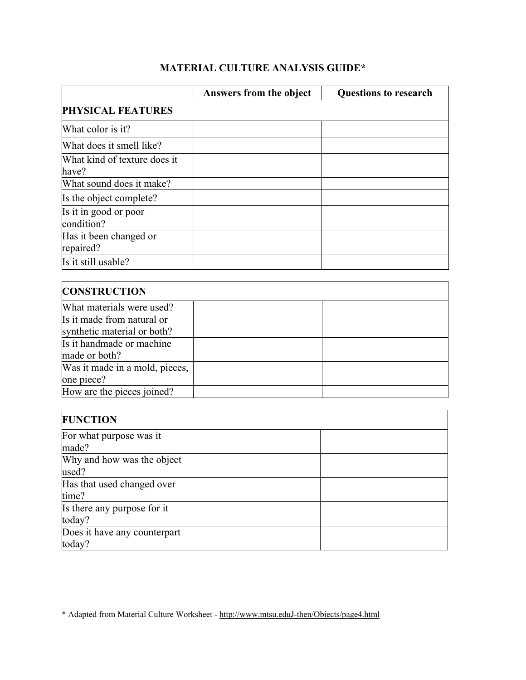## **MATERIAL CULTURE ANALYSIS GUIDE\***

|                                                           | Answers from the object | <b>Questions to research</b> |
|-----------------------------------------------------------|-------------------------|------------------------------|
| <b>PHYSICAL FEATURES</b>                                  |                         |                              |
| What color is it?                                         |                         |                              |
| What does it smell like?                                  |                         |                              |
| What kind of texture does it<br>have?                     |                         |                              |
| What sound does it make?                                  |                         |                              |
| Is the object complete?                                   |                         |                              |
| Is it in good or poor<br>condition?                       |                         |                              |
| Has it been changed or<br>repaired?                       |                         |                              |
| Is it still usable?                                       |                         |                              |
|                                                           |                         |                              |
| <b>CONSTRUCTION</b>                                       |                         |                              |
| What materials were used?                                 |                         |                              |
| Is it made from natural or<br>synthetic material or both? |                         |                              |
| Is it handmade or machine<br>made or both?                |                         |                              |
| Was it made in a mold, pieces,<br>one piece?              |                         |                              |
| How are the pieces joined?                                |                         |                              |
|                                                           |                         |                              |
| <b>FUNCTION</b>                                           |                         |                              |
| For what purpose was it<br>made?                          |                         |                              |
| Why and how was the object<br>used?                       |                         |                              |
| Has that used changed over<br>time?                       |                         |                              |
| Is there any purpose for it<br>today?                     |                         |                              |
| Does it have any counterpart<br>today?                    |                         |                              |

 $\mathcal{L}_\text{max}$  , where  $\mathcal{L}_\text{max}$  , we have the set of  $\mathcal{L}_\text{max}$ 

<sup>\*</sup> Adapted from Material Culture Worksheet - http://www.mtsu.eduJ-then/Obiects/page4.html